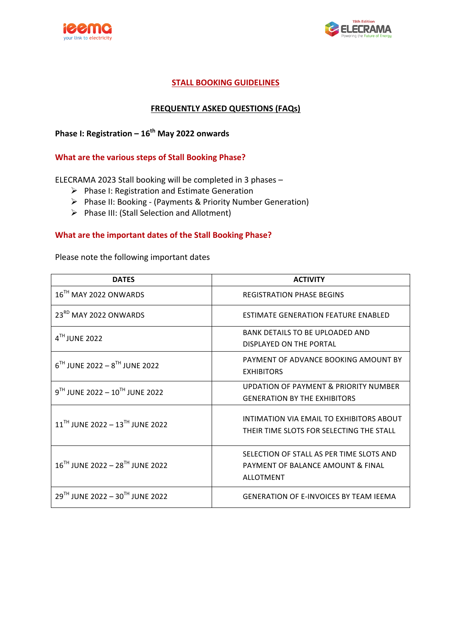



### **STALL BOOKING GUIDELINES**

#### **FREQUENTLY ASKED QUESTIONS (FAQs)**

# **Phase I: Registration – 16<sup>th</sup> May 2022 onwards**

#### **What are the various steps of Stall Booking Phase?**

ELECRAMA 2023 Stall booking will be completed in 3 phases -

- $\triangleright$  Phase I: Registration and Estimate Generation
- $\triangleright$  Phase II: Booking (Payments & Priority Number Generation)
- $\triangleright$  Phase III: (Stall Selection and Allotment)

#### **What are the important dates of the Stall Booking Phase?**

Please note the following important dates

| <b>DATES</b>                                | <b>ACTIVITY</b>                                                                                   |
|---------------------------------------------|---------------------------------------------------------------------------------------------------|
| 16 <sup>TH</sup> MAY 2022 ONWARDS           | <b>REGISTRATION PHASE BEGINS</b>                                                                  |
| 23RD MAY 2022 ONWARDS                       | ESTIMATE GENERATION FEATURE ENABLED                                                               |
| $4TH$ JUNE 2022                             | BANK DETAILS TO BE UPLOADED AND<br>DISPLAYED ON THE PORTAL                                        |
| $6^{TH}$ JUNE 2022 - $8^{TH}$ JUNE 2022     | PAYMENT OF ADVANCE BOOKING AMOUNT BY<br><b>EXHIBITORS</b>                                         |
| $9^{TH}$ JUNE 2022 - $10^{TH}$ JUNE 2022    | UPDATION OF PAYMENT & PRIORITY NUMBER<br><b>GENERATION BY THE EXHIBITORS</b>                      |
| 11 <sup>TH</sup> JUNE 2022 - 13TH JUNE 2022 | INTIMATION VIA FMAIL TO FXHIBITORS ABOUT<br>THEIR TIME SLOTS FOR SELECTING THE STALL              |
| 16TH JUNE 2022 - 28TH JUNE 2022             | SELECTION OF STALL AS PER TIME SLOTS AND<br>PAYMENT OF BALANCE AMOUNT & FINAL<br><b>ALLOTMENT</b> |
| $29^{TH}$ JUNE 2022 - $30^{TH}$ JUNE 2022   | <b>GENERATION OF E-INVOICES BY TEAM JEEMA</b>                                                     |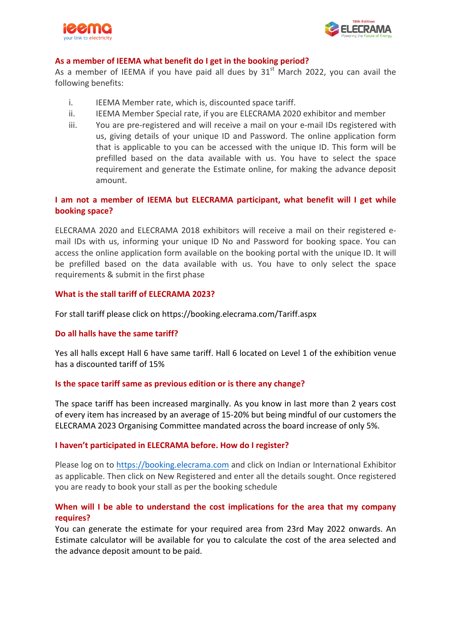



#### As a member of IEEMA what benefit do I get in the booking period?

As a member of IEEMA if you have paid all dues by  $31<sup>st</sup>$  March 2022, you can avail the following benefits:

- i. IEEMA Member rate, which is, discounted space tariff.
- ii. IEEMA Member Special rate, if you are ELECRAMA 2020 exhibitor and member
- iii. You are pre-registered and will receive a mail on your e-mail IDs registered with us, giving details of your unique ID and Password. The online application form that is applicable to you can be accessed with the unique ID. This form will be prefilled based on the data available with us. You have to select the space requirement and generate the Estimate online, for making the advance deposit amount.

#### **I** am not a member of IEEMA but ELECRAMA participant, what benefit will I get while **booking space?**

ELECRAMA 2020 and ELECRAMA 2018 exhibitors will receive a mail on their registered email IDs with us, informing your unique ID No and Password for booking space. You can access the online application form available on the booking portal with the unique ID. It will be prefilled based on the data available with us. You have to only select the space requirements & submit in the first phase

#### **What is the stall tariff of ELECRAMA 2023?**

For stall tariff please click on https://booking.elecrama.com/Tariff.aspx

#### **Do all halls have the same tariff?**

Yes all halls except Hall 6 have same tariff. Hall 6 located on Level 1 of the exhibition venue has a discounted tariff of 15%

#### **Is the space tariff same as previous edition or is there any change?**

The space tariff has been increased marginally. As you know in last more than 2 years cost of every item has increased by an average of 15-20% but being mindful of our customers the ELECRAMA 2023 Organising Committee mandated across the board increase of only 5%.

#### **I** haven't participated in ELECRAMA before. How do I register?

Please log on to https://booking.elecrama.com and click on Indian or International Exhibitor as applicable. Then click on New Registered and enter all the details sought. Once registered you are ready to book your stall as per the booking schedule

### When will I be able to understand the cost implications for the area that my company **requires?**

You can generate the estimate for your required area from 23rd May 2022 onwards. An Estimate calculator will be available for you to calculate the cost of the area selected and the advance deposit amount to be paid.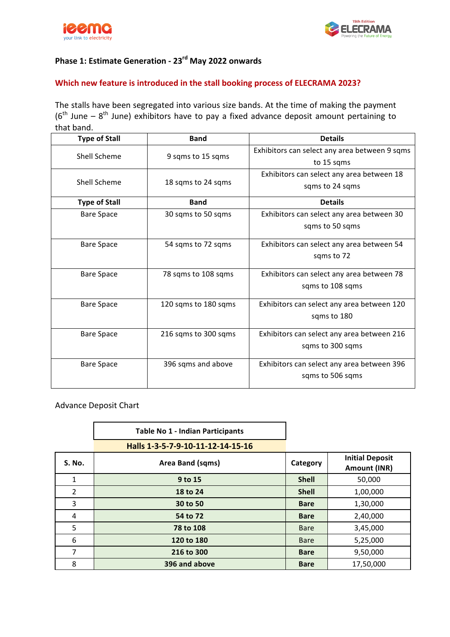



# **Phase 1: Estimate Generation - 23<sup>rd</sup> May 2022 onwards**

#### Which new feature is introduced in the stall booking process of ELECRAMA 2023?

The stalls have been segregated into various size bands. At the time of making the payment ( $6<sup>th</sup>$  June –  $8<sup>th</sup>$  June) exhibitors have to pay a fixed advance deposit amount pertaining to that band.

| <b>Type of Stall</b> | <b>Band</b>          | <b>Details</b>                                |
|----------------------|----------------------|-----------------------------------------------|
| Shell Scheme         |                      | Exhibitors can select any area between 9 sqms |
|                      | 9 sqms to 15 sqms    | to 15 sqms                                    |
|                      |                      | Exhibitors can select any area between 18     |
| Shell Scheme         | 18 sqms to 24 sqms   | sqms to 24 sqms                               |
| <b>Type of Stall</b> | <b>Band</b>          | <b>Details</b>                                |
| <b>Bare Space</b>    | 30 sqms to 50 sqms   | Exhibitors can select any area between 30     |
|                      |                      | sqms to 50 sqms                               |
| <b>Bare Space</b>    | 54 sqms to 72 sqms   | Exhibitors can select any area between 54     |
|                      |                      | sqms to 72                                    |
| <b>Bare Space</b>    | 78 sqms to 108 sqms  | Exhibitors can select any area between 78     |
|                      |                      | sqms to 108 sqms                              |
| <b>Bare Space</b>    | 120 sqms to 180 sqms | Exhibitors can select any area between 120    |
|                      |                      | sqms to 180                                   |
| <b>Bare Space</b>    | 216 sqms to 300 sqms | Exhibitors can select any area between 216    |
|                      |                      | sqms to 300 sqms                              |
| <b>Bare Space</b>    | 396 sqms and above   | Exhibitors can select any area between 396    |
|                      |                      | sqms to 506 sqms                              |
|                      |                      |                                               |

Advance Deposit Chart

|               | <b>Table No 1 - Indian Participants</b> |              |                                        |
|---------------|-----------------------------------------|--------------|----------------------------------------|
|               | Halls 1-3-5-7-9-10-11-12-14-15-16       |              |                                        |
| <b>S. No.</b> | Area Band (sqms)                        | Category     | <b>Initial Deposit</b><br>Amount (INR) |
| 1             | 9 to 15                                 | <b>Shell</b> | 50,000                                 |
| 2             | 18 to 24                                | <b>Shell</b> | 1,00,000                               |
| 3             | 30 to 50                                | <b>Bare</b>  | 1,30,000                               |
| 4             | 54 to 72                                | <b>Bare</b>  | 2,40,000                               |
| 5             | 78 to 108                               | <b>Bare</b>  | 3,45,000                               |
| 6             | 120 to 180                              | <b>Bare</b>  | 5,25,000                               |
| 7             | 216 to 300                              | <b>Bare</b>  | 9,50,000                               |
| 8             | 396 and above                           | <b>Bare</b>  | 17,50,000                              |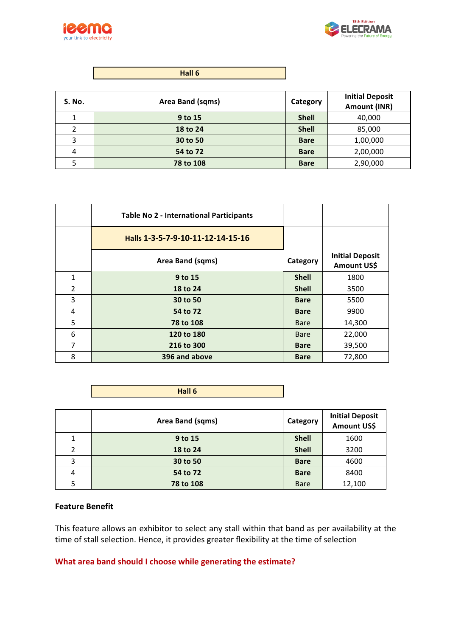



| S. No. | Area Band (sqms) | <b>Category</b> | <b>Initial Deposit</b><br>Amount (INR) |
|--------|------------------|-----------------|----------------------------------------|
|        | 9 to 15          | <b>Shell</b>    | 40,000                                 |
|        | 18 to 24         | <b>Shell</b>    | 85,000                                 |
| 3      | 30 to 50         | <b>Bare</b>     | 1,00,000                               |
| 4      | 54 to 72         | <b>Bare</b>     | 2,00,000                               |
|        | 78 to 108        | <b>Bare</b>     | 2,90,000                               |

|                | <b>Table No 2 - International Participants</b> |              |                                       |
|----------------|------------------------------------------------|--------------|---------------------------------------|
|                | Halls 1-3-5-7-9-10-11-12-14-15-16              |              |                                       |
|                | Area Band (sqms)                               | Category     | <b>Initial Deposit</b><br>Amount US\$ |
| $\mathbf{1}$   | 9 to 15                                        | <b>Shell</b> | 1800                                  |
| $\overline{2}$ | 18 to 24                                       | <b>Shell</b> | 3500                                  |
| 3              | 30 to 50                                       | <b>Bare</b>  | 5500                                  |
| 4              | 54 to 72                                       | <b>Bare</b>  | 9900                                  |
| 5              | 78 to 108                                      | <b>Bare</b>  | 14,300                                |
| 6              | 120 to 180                                     | <b>Bare</b>  | 22,000                                |
| 7              | 216 to 300                                     | <b>Bare</b>  | 39,500                                |
| 8              | 396 and above                                  | <b>Bare</b>  | 72,800                                |

| Hall 6 |
|--------|
|--------|

|   | Area Band (sqms) | Category     | <b>Initial Deposit</b><br>Amount US\$ |
|---|------------------|--------------|---------------------------------------|
|   | 9 to 15          | <b>Shell</b> | 1600                                  |
| 2 | 18 to 24         | <b>Shell</b> | 3200                                  |
| 3 | 30 to 50         | <b>Bare</b>  | 4600                                  |
| 4 | 54 to 72         | <b>Bare</b>  | 8400                                  |
|   | 78 to 108        | <b>Bare</b>  | 12,100                                |

#### **Feature Benefit**

This feature allows an exhibitor to select any stall within that band as per availability at the time of stall selection. Hence, it provides greater flexibility at the time of selection

**What area band should I choose while generating the estimate?**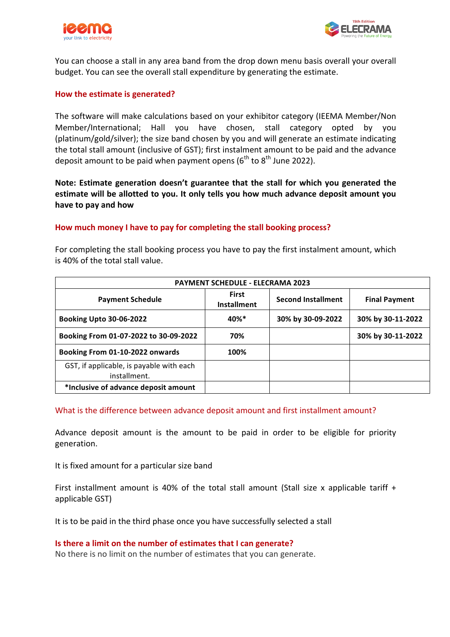



You can choose a stall in any area band from the drop down menu basis overall your overall budget. You can see the overall stall expenditure by generating the estimate.

#### **How the estimate is generated?**

The software will make calculations based on your exhibitor category (IEEMA Member/Non Member/International; Hall you have chosen, stall category opted by you (platinum/gold/silver); the size band chosen by you and will generate an estimate indicating the total stall amount (inclusive of GST); first instalment amount to be paid and the advance deposit amount to be paid when payment opens ( $6<sup>th</sup>$  to  $8<sup>th</sup>$  June 2022).

Note: Estimate generation doesn't guarantee that the stall for which you generated the estimate will be allotted to you. It only tells you how much advance deposit amount you have to pay and how

#### How much money I have to pay for completing the stall booking process?

| <b>PAYMENT SCHEDULE - ELECRAMA 2023</b>                  |                                    |                           |                      |
|----------------------------------------------------------|------------------------------------|---------------------------|----------------------|
| <b>Payment Schedule</b>                                  | <b>First</b><br><b>Installment</b> | <b>Second Installment</b> | <b>Final Payment</b> |
| <b>Booking Upto 30-06-2022</b>                           | 40%*                               | 30% by 30-09-2022         | 30% by 30-11-2022    |
| Booking From 01-07-2022 to 30-09-2022                    | 70%                                |                           | 30% by 30-11-2022    |
| Booking From 01-10-2022 onwards                          | 100%                               |                           |                      |
| GST, if applicable, is payable with each<br>installment. |                                    |                           |                      |
| *Inclusive of advance deposit amount                     |                                    |                           |                      |

is 40% of the total stall value.

For completing the stall booking process you have to pay the first instalment amount, which

#### What is the difference between advance deposit amount and first installment amount?

Advance deposit amount is the amount to be paid in order to be eligible for priority generation. 

It is fixed amount for a particular size band

First installment amount is 40% of the total stall amount (Stall size x applicable tariff  $+$ applicable GST)

It is to be paid in the third phase once you have successfully selected a stall

# **Is there a limit on the number of estimates that I can generate?**

No there is no limit on the number of estimates that you can generate.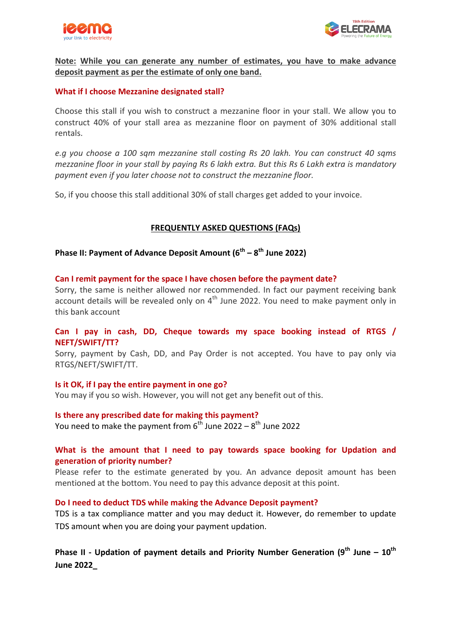



### Note: While you can generate any number of estimates, you have to make advance deposit payment as per the estimate of only one band.

#### **What if I choose Mezzanine designated stall?**

Choose this stall if you wish to construct a mezzanine floor in your stall. We allow you to construct 40% of your stall area as mezzanine floor on payment of 30% additional stall rentals. 

*e.g* you choose a 100 sqm mezzanine stall costing Rs 20 lakh. You can construct 40 sqms *mezzanine floor in your stall by paying Rs 6 lakh extra. But this Rs 6 Lakh extra is mandatory* payment even if you later choose not to construct the mezzanine floor.

So, if you choose this stall additional 30% of stall charges get added to your invoice.

#### **FREQUENTLY ASKED QUESTIONS (FAQs)**

# **Phase II: Payment of Advance Deposit Amount (6<sup>th</sup> – 8<sup>th</sup> June 2022)**

#### Can I remit payment for the space I have chosen before the payment date?

Sorry, the same is neither allowed nor recommended. In fact our payment receiving bank account details will be revealed only on  $4<sup>th</sup>$  June 2022. You need to make payment only in this bank account

#### **Can** I pay in cash, DD, Cheque towards my space booking instead of RTGS / **NEFT/SWIFT/TT?**

Sorry, payment by Cash, DD, and Pay Order is not accepted. You have to pay only via RTGS/NEFT/SWIFT/TT.

#### **Is it OK, if I pay the entire payment in one go?**

You may if you so wish. However, you will not get any benefit out of this.

#### **Is there any prescribed date for making this payment?** You need to make the payment from  $6^{th}$  June 2022 –  $8^{th}$  June 2022

# What is the amount that I need to pay towards space booking for Updation and **generation of priority number?**

Please refer to the estimate generated by you. An advance deposit amount has been mentioned at the bottom. You need to pay this advance deposit at this point.

#### Do I need to deduct TDS while making the Advance Deposit payment?

TDS is a tax compliance matter and you may deduct it. However, do remember to update TDS amount when you are doing your payment updation.

# **Phase II** - Updation of payment details and Priority Number Generation (9<sup>th</sup> June – 10<sup>th</sup> **June 2022\_**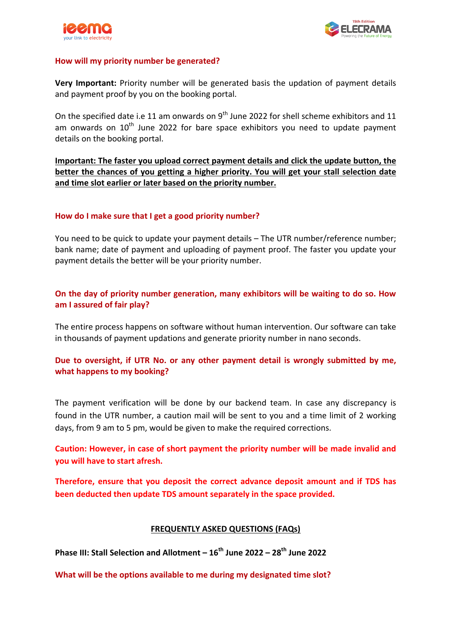



#### How will my priority number be generated?

**Very Important:** Priority number will be generated basis the updation of payment details and payment proof by you on the booking portal.

On the specified date i.e 11 am onwards on  $9^{th}$  June 2022 for shell scheme exhibitors and 11 am onwards on  $10^{th}$  June 2022 for bare space exhibitors you need to update payment details on the booking portal.

**Important: The faster you upload correct payment details and click the update button, the** better the chances of you getting a higher priority. You will get your stall selection date and time slot earlier or later based on the priority number.

#### How do I make sure that I get a good priority number?

You need to be quick to update your payment details – The UTR number/reference number; bank name; date of payment and uploading of payment proof. The faster you update your payment details the better will be your priority number.

# On the day of priority number generation, many exhibitors will be waiting to do so. How am I assured of fair play?

The entire process happens on software without human intervention. Our software can take in thousands of payment updations and generate priority number in nano seconds.

# **Due** to oversight, if UTR No. or any other payment detail is wrongly submitted by me. **what happens to my booking?**

The payment verification will be done by our backend team. In case any discrepancy is found in the UTR number, a caution mail will be sent to you and a time limit of 2 working days, from 9 am to 5 pm, would be given to make the required corrections.

Caution: However, in case of short payment the priority number will be made invalid and **you** will have to start afresh.

**Therefore, ensure that you deposit the correct advance deposit amount and if TDS has been deducted then update TDS amount separately in the space provided.** 

#### **FREQUENTLY ASKED QUESTIONS (FAQs)**

**Phase III: Stall Selection and Allotment –**  $16^{th}$  **June 2022 – 28<sup>th</sup> June 2022** 

**What will be the options available to me during my designated time slot?**